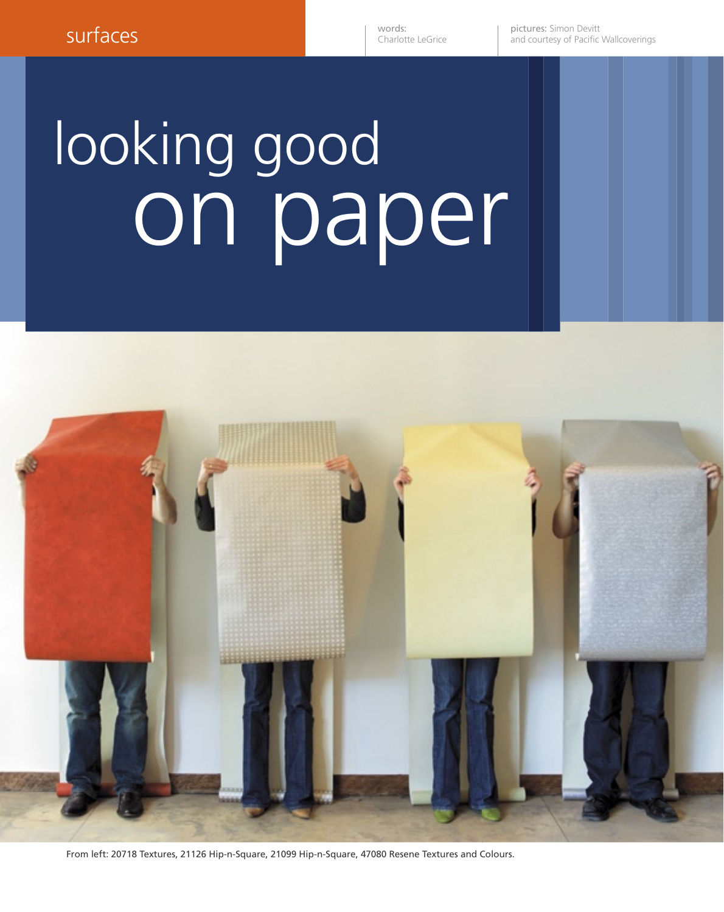pictures: Simon Devitt and courtesy of Pacific Wallcoverings

## on paper looking good



From left: 20718 Textures, 21126 Hip-n-Square, 21099 Hip-n-Square, 47080 Resene Textures and Colours.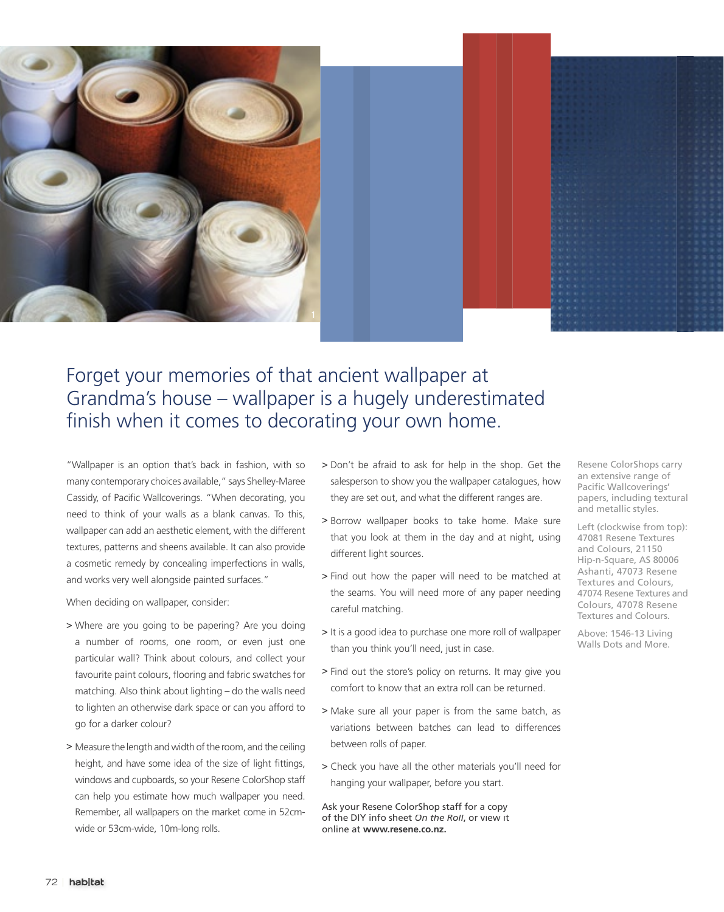

## Forget your memories of that ancient wallpaper at Grandma's house – wallpaper is a hugely underestimated finish when it comes to decorating your own home.

"Wallpaper is an option that's back in fashion, with so many contemporary choices available," says Shelley-Maree Cassidy, of Pacific Wallcoverings. "When decorating, you need to think of your walls as a blank canvas. To this, wallpaper can add an aesthetic element, with the different textures, patterns and sheens available. It can also provide a cosmetic remedy by concealing imperfections in walls, and works very well alongside painted surfaces."

When deciding on wallpaper, consider:

- > Where are you going to be papering? Are you doing a number of rooms, one room, or even just one particular wall? Think about colours, and collect your favourite paint colours, flooring and fabric swatches for matching. Also think about lighting – do the walls need to lighten an otherwise dark space or can you afford to go for a darker colour?
- > Measure the length and width of the room, and the ceiling height, and have some idea of the size of light fittings, windows and cupboards, so your Resene ColorShop staff can help you estimate how much wallpaper you need. Remember, all wallpapers on the market come in 52cmwide or 53cm-wide, 10m-long rolls.
- > Don't be afraid to ask for help in the shop. Get the salesperson to show you the wallpaper catalogues, how they are set out, and what the different ranges are.
- > Borrow wallpaper books to take home. Make sure that you look at them in the day and at night, using different light sources.
- > Find out how the paper will need to be matched at the seams. You will need more of any paper needing careful matching.
- > It is a good idea to purchase one more roll of wallpaper than you think you'll need, just in case.
- > Find out the store's policy on returns. It may give you comfort to know that an extra roll can be returned.
- > Make sure all your paper is from the same batch, as variations between batches can lead to differences between rolls of paper.
- > Check you have all the other materials you'll need for hanging your wallpaper, before you start.

Ask your Resene ColorShop staff for a copy of the DIY info sheet On the Roll, or view it online at **www.resene.co.nz.**

Resene ColorShops carry an extensive range of Pacific Wallcoverings' papers, including textural and metallic styles.

Left (clockwise from top): 47081 Resene Textures and Colours, 21150 Hip-n-Square, AS 80006 Ashanti, 47073 Resene Textures and Colours, 47074 Resene Textures and Colours, 47078 Resene Textures and Colours.

Above: 1546-13 Living Walls Dots and More.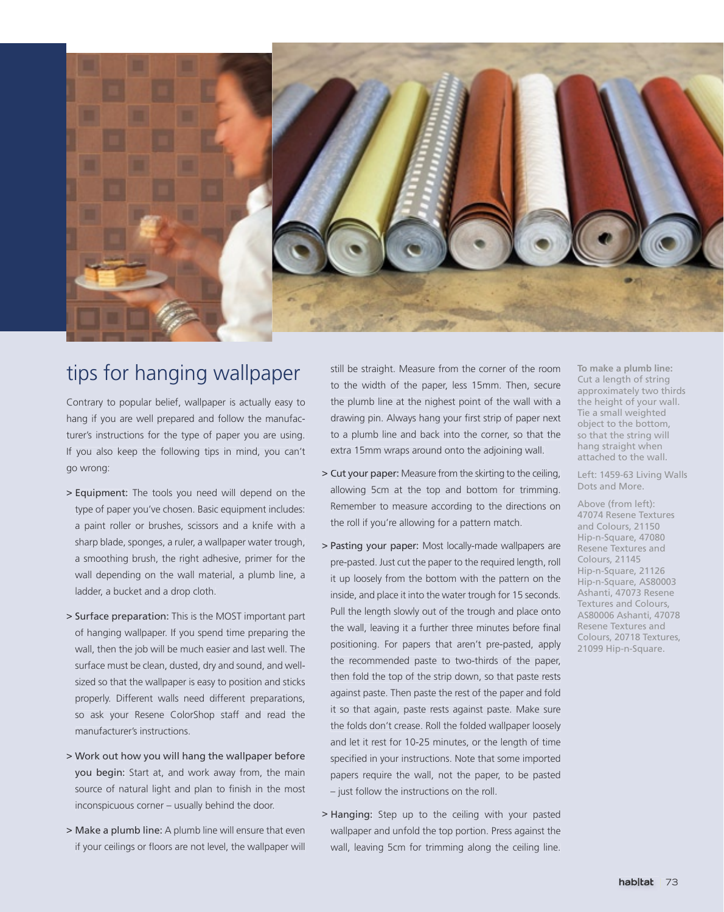

## tips for hanging wallpaper

Contrary to popular belief, wallpaper is actually easy to hang if you are well prepared and follow the manufacturer's instructions for the type of paper you are using. If you also keep the following tips in mind, you can't go wrong:

- > Equipment: The tools you need will depend on the type of paper you've chosen. Basic equipment includes: a paint roller or brushes, scissors and a knife with a sharp blade, sponges, a ruler, a wallpaper water trough, a smoothing brush, the right adhesive, primer for the wall depending on the wall material, a plumb line, a ladder, a bucket and a drop cloth.
- > Surface preparation: This is the MOST important part of hanging wallpaper. If you spend time preparing the wall, then the job will be much easier and last well. The surface must be clean, dusted, dry and sound, and wellsized so that the wallpaper is easy to position and sticks properly. Different walls need different preparations, so ask your Resene ColorShop staff and read the manufacturer's instructions.
- > Work out how you will hang the wallpaper before you begin: Start at, and work away from, the main source of natural light and plan to finish in the most inconspicuous corner – usually behind the door.
- > Make a plumb line: A plumb line will ensure that even if your ceilings or floors are not level, the wallpaper will

still be straight. Measure from the corner of the room to the width of the paper, less 15mm. Then, secure the plumb line at the nighest point of the wall with a drawing pin. Always hang your first strip of paper next to a plumb line and back into the corner, so that the extra 15mm wraps around onto the adjoining wall.

- > Cut your paper: Measure from the skirting to the ceiling, allowing 5cm at the top and bottom for trimming. Remember to measure according to the directions on the roll if you're allowing for a pattern match.
- > Pasting your paper: Most locally-made wallpapers are pre-pasted. Just cut the paper to the required length, roll it up loosely from the bottom with the pattern on the inside, and place it into the water trough for 15 seconds. Pull the length slowly out of the trough and place onto the wall, leaving it a further three minutes before final positioning. For papers that aren't pre-pasted, apply the recommended paste to two-thirds of the paper, then fold the top of the strip down, so that paste rests against paste. Then paste the rest of the paper and fold it so that again, paste rests against paste. Make sure the folds don't crease. Roll the folded wallpaper loosely and let it rest for 10-25 minutes, or the length of time specified in your instructions. Note that some imported papers require the wall, not the paper, to be pasted – just follow the instructions on the roll.
- > Hanging: Step up to the ceiling with your pasted wallpaper and unfold the top portion. Press against the wall, leaving 5cm for trimming along the ceiling line.

**To make a plumb line:** Cut a length of string approximately two thirds the height of your wall. Tie a small weighted object to the bottom, so that the string will hang straight when attached to the wall.

Left: 1459-63 Living Walls Dots and More.

Above (from left): 47074 Resene Textures and Colours, 21150 Hip-n-Square, 47080 Resene Textures and Colours, 21145 Hip-n-Square, 21126 Hip-n-Square, AS80003 Ashanti, 47073 Resene Textures and Colours, AS80006 Ashanti, 47078 Resene Textures and Colours, 20718 Textures, 21099 Hip-n-Square.